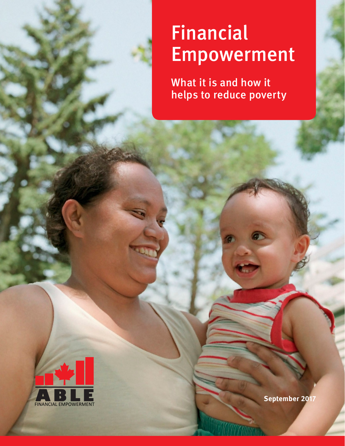# Financial **Empowerment**

What it is and how it helps to reduce poverty

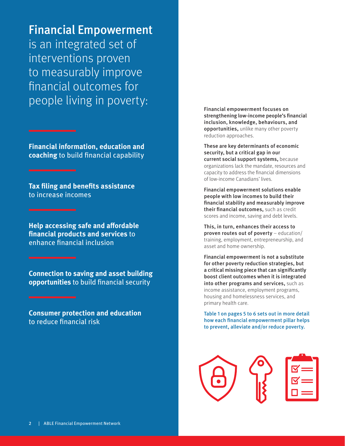Financial Empowerment

is an integrated set of interventions proven to measurably improve financial outcomes for people living in poverty:

**Financial information, education and coaching** to build financial capability

**Tax filing and benefits assistance**  to increase incomes

**Help accessing safe and affordable financial products and services** to enhance financial inclusion

**Connection to saving and asset building opportunities** to build financial security

**Consumer protection and education**  to reduce financial risk

Financial empowerment focuses on strengthening low-income people's financial inclusion, knowledge, behaviours, and opportunities, unlike many other poverty reduction approaches.

These are key determinants of economic security, but a critical gap in our current social support systems, because organizations lack the mandate, resources and capacity to address the financial dimensions of low-income Canadians' lives.

Financial empowerment solutions enable people with low incomes to build their financial stability and measurably improve their financial outcomes, such as credit scores and income, saving and debt levels.

This, in turn, enhances their access to proven routes out of poverty – education/ training, employment, entrepreneurship, and asset and home ownership.

Financial empowerment is not a substitute for other poverty reduction strategies, but a critical missing piece that can significantly boost client outcomes when it is integrated into other programs and services, such as income assistance, employment programs, housing and homelessness services, and primary health care.

Table 1 on pages 5 to 6 sets out in more detail how each financial empowerment pillar helps to prevent, alleviate and/or reduce poverty.

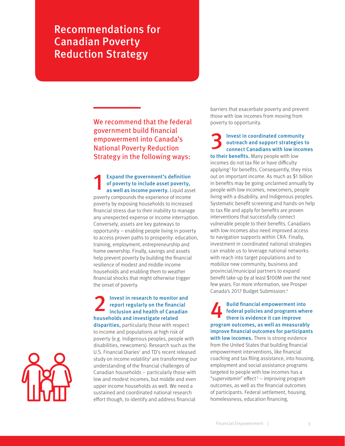Recommendations for Canadian Poverty Reduction Strategy

> We recommend that the federal government build financial empowerment into Canada's National Poverty Reduction Strategy in the following ways:

**Expand the government's definition** of poverty to include asset poverty, as well as income poverty. Liquid asset poverty compounds the experience of income poverty by exposing households to increased financial stress due to their inability to manage any unexpected expense or income interruption. Conversely, assets are key gateways to opportunity – enabling people living in poverty to access proven paths to prosperity: education, training, employment, entrepreneurship and home ownership. Finally, savings and assets help prevent poverty by building the financial resilience of modest and middle-income households and enabling them to weather financial shocks that might otherwise trigger the onset of poverty.

## **2** Invest in research to monitor and report regularly on the financial inclusion and health of Canadian report regularly on the financial households and investigate related

disparities, particularly those with respect to income and populations at high risk of poverty (e.g. Indigenous peoples, people with disabilities, newcomers). Research such as the U.S. Financial Diaries<sup>1</sup> and TD's recent released [study on income volatility](https://td-capa.s3.amazonaws.com/prod/default/0001/01/2ed95a1a680ea5b78ab53646f1f432f51405bc02.pdf)<sup>2</sup> are transforming our understanding of the financial challenges of Canadian households – particularly those with low and modest incomes, but middle and even upper income households as well. We need a sustained and coordinated national research effort though, to identify and address financial

barriers that exacerbate poverty and prevent those with low incomes from moving from poverty to opportunity.

Invest in coordinated community outreach and support strategies to connect Canadians with low incomes to their benefits. Many people with low incomes do not tax file or [have difficulty](http://prospercanada.org/getattachment/877cb75f-4f8f-44ff-b762-af726c3afce7/Breaking-down-barriers-to-tax-filing.aspx)  applying<sup>3</sup> for benefits. Consequently, they miss out on important income. As much as \$1 billion in benefits may be going unclaimed annually by people with low incomes, newcomers, people living with a disability, and Indigenous peoples. Systematic benefit screening and hands-on help to tax file and apply for benefits are proven interventions that successfully connect vulnerable people to their benefits. Canadians with low incomes also need improved access to navigation supports within CRA. Finally, investment in coordinated national strategies can enable us to leverage national networks with reach into target populations and to mobilize new community, business and provincial/municipal partners to expand benefit take-up by at least \$100M over the next few years. For more information, see Prosper Canada's [2017 Budget Submission](http://prospercanada.org/prospercanada/media/PDF/News/2017Fed_Budget_Subm_Summary_Jan_-27_2017.pdf). 4

Build financial empowerment into<br>federal policies and programs where there is evidence it can improve federal policies and programs where there is evidence it can improve program outcomes, as well as measurably improve financial outcomes for participants with low incomes. There is strong evidence from the United States that building financial empowerment interventions, like financial coaching and tax filing assistance, into housing, employment and social assistance programs targeted to people with low incomes has a "supervitamin" effect<sup>5</sup> – improving program outcomes, as well as the financial outcomes of participants. Federal settlement, housing, homelessness, education financing,

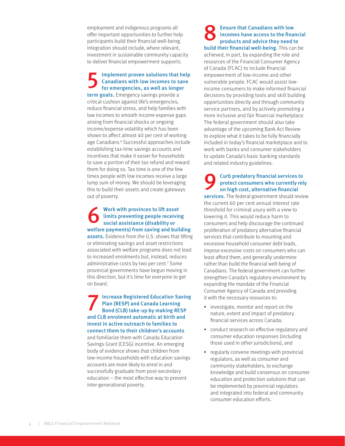employment and indigenous programs all offer important opportunities to further help participants build their financial well-being. Integration should include, where relevant, investment in sustainable community capacity to deliver financial empowerment supports.

#### Implement proven solutions that help Canadians with low incomes to save for emergencies, as well as longer

term goals. Emergency savings provide a critical cushion against life's emergencies, reduce financial stress, and help families with low incomes to smooth income expense gaps arising from financial shocks or ongoing income/expense volatility which has been shown to affect almost 40 per cent of working age Canadians. 6 Successful approaches include establishing tax-time savings accounts and incentives that make it easier for households to save a portion of their tax refund and reward them for doing so. Tax time is one of the few times people with low incomes receive a large lump sum of money. We should be leveraging this to build their assets and create gateways out of poverty.

#### Work with provinces to lift asset<br>limits preventing people receivin<br>social assistance (disability or limits preventing people receiving social assistance (disability or welfare payments) from saving and building assets. Evidence from the U.S. shows that lifting or eliminating savings and asset restrictions associated with welfare programs does not lead to increased enrolments but, instead, reduces administrative costs by two per cent. 7 Some provincial governments have begun moving in this direction, but it's time for everyone to get on board.

**Increase Registered Education Saving** Plan (RESP) and Canada Learning Bond (CLB) take-up by making RESP and CLB enrolment automatic at birth and invest in active outreach to families to connect them to their children's accounts and familiarize them with Canada Education Savings Grant (CESG) incentive. An emerging body of evidence shows that children from low-income households with education savings accounts are more likely to enrol in and successfully graduate from post-secondary education – the most effective way to prevent inter-generational poverty.

Ensure that Canadians with low<br>incomes have access to the final<br>products and advice they need t incomes have access to the financial products and advice they need to build their financial well-being. This can be achieved, in part, by expanding the role and resources of the Financial Consumer Agency of Canada (FCAC) to include financial empowerment of low-income and other vulnerable people. FCAC would assist lowincome consumers to make informed financial decisions by providing tools and skill building opportunities directly and through community service partners, and by actively promoting a more inclusive and fair financial marketplace. The federal government should also take advantage of the upcoming Bank Act Review to explore what it takes to be fully financially included in today's financial marketplace and to work with banks and consumer stakeholders to update Canada's basic banking standards and related industry guidelines.

#### 9 Curb predatory financial services to protect consumers who currently rely on high cost, alternative financial services. The federal government should review the current 60 per cent annual interest rate threshold for criminal usury with a view to lowering it. This would reduce harm to consumers and help discourage the continued proliferation of predatory alternative financial services that contribute to mounting and excessive household consumer debt loads, impose excessive costs on consumers who can least afford them, and generally undermine rather than build the financial well-being of Canadians. The federal government can further strengthen Canada's regulatory environment by expanding the mandate of the Financial Consumer Agency of Canada and providing it with the necessary resources to:

- investigate, monitor and report on the nature, extent and impact of predatory financial services across Canada;
- conduct research on effective regulatory and consumer education responses (including those used in other jurisdictions), and
- regularly convene meetings with provincial regulators, as well as consumer and community stakeholders, to exchange knowledge and build consensus on consumer education and protection solutions that can be implemented by provincial regulators and integrated into federal and community consumer education efforts.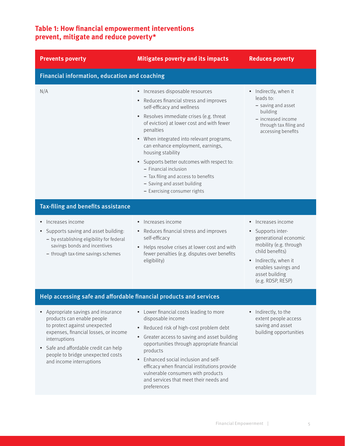### **Table 1: How financial empowerment interventions prevent, mitigate and reduce poverty\***

| <b>Prevents poverty</b>                                                                                                                                                                                                                                                         | <b>Mitigates poverty and its impacts</b>                                                                                                                                                                                                                                                                                                                                                                                                                                                                        | <b>Reduces poverty</b>                                                                                                                                                                                          |
|---------------------------------------------------------------------------------------------------------------------------------------------------------------------------------------------------------------------------------------------------------------------------------|-----------------------------------------------------------------------------------------------------------------------------------------------------------------------------------------------------------------------------------------------------------------------------------------------------------------------------------------------------------------------------------------------------------------------------------------------------------------------------------------------------------------|-----------------------------------------------------------------------------------------------------------------------------------------------------------------------------------------------------------------|
| Financial information, education and coaching                                                                                                                                                                                                                                   |                                                                                                                                                                                                                                                                                                                                                                                                                                                                                                                 |                                                                                                                                                                                                                 |
| N/A                                                                                                                                                                                                                                                                             | • Increases disposable resources<br>• Reduces financial stress and improves<br>self-efficacy and wellness<br>• Resolves immediate crises (e.g. threat<br>of eviction) at lower cost and with fewer<br>penalties<br>• When integrated into relevant programs,<br>can enhance employment, earnings,<br>housing stability<br>Supports better outcomes with respect to:<br>$\bullet$<br>- Financial inclusion<br>- Tax filing and access to benefits<br>- Saving and asset building<br>- Exercising consumer rights | • Indirectly, when it<br>leads to:<br>- saving and asset<br>building<br>- increased income<br>through tax filing and<br>accessing benefits                                                                      |
| Tax-filing and benefits assistance                                                                                                                                                                                                                                              |                                                                                                                                                                                                                                                                                                                                                                                                                                                                                                                 |                                                                                                                                                                                                                 |
| Increases income<br>Supports saving and asset building:<br>$\bullet$<br>- by establishing eligibility for federal<br>savings bonds and incentives<br>- through tax-time savings schemes                                                                                         | • Increases income<br>• Reduces financial stress and improves<br>self-efficacy<br>• Helps resolve crises at lower cost and with<br>fewer penalties (e.g. disputes over benefits<br>eligibility)                                                                                                                                                                                                                                                                                                                 | • Increases income<br>Supports inter-<br>$\bullet$<br>generational economic<br>mobility (e.g. through<br>child benefits)<br>• Indirectly, when it<br>enables savings and<br>asset building<br>(e.g. RDSP, RESP) |
| Help accessing safe and affordable financial products and services                                                                                                                                                                                                              |                                                                                                                                                                                                                                                                                                                                                                                                                                                                                                                 |                                                                                                                                                                                                                 |
| Appropriate savings and insurance<br>products can enable people<br>to protect against unexpected<br>expenses, financial losses, or income<br>interruptions<br>Safe and affordable credit can help<br>$\bullet$<br>people to bridge unexpected costs<br>and income interruptions | • Lower financial costs leading to more<br>disposable income<br>• Reduced risk of high-cost problem debt<br>Greater access to saving and asset building<br>$\bullet$<br>opportunities through appropriate financial<br>products<br>Enhanced social inclusion and self-<br>efficacy when financial institutions provide<br>vulnerable consumers with products<br>and services that meet their needs and<br>preferences                                                                                           | • Indirectly, to the<br>extent people access<br>saving and asset<br>building opportunities                                                                                                                      |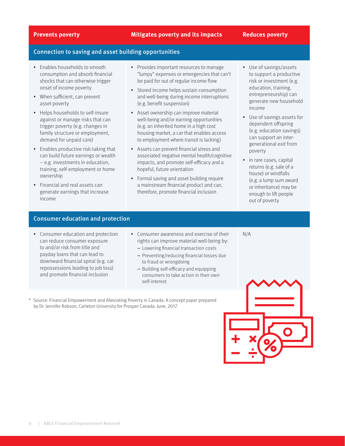#### **Prevents poverty Mitigates poverty and its impacts Reduces poverty**

#### Connection to saving and asset building opportunities

- Enables households to smooth consumption and absorb financial shocks that can otherwise trigger onset of income poverty
- When sufficient, can prevent asset poverty
- Helps households to self-insure against or manage risks that can trigger poverty (e.g. changes in family structure or employment, demand for unpaid care)
- Enables productive risk-taking that can build future earnings or wealth – e.g. investments in education, training, self-employment or home ownership
- Financial and real assets can generate earnings that increase income
- Provides important resources to manage "lumpy" expenses or emergencies that can't be paid for out of regular income flow
- Stored income helps sustain consumption and well-being during income interruptions (e.g. benefit suspension)
- Asset ownership can improve material well-being and/or earning opportunities (e.g. an inherited home in a high cost housing market, a car that enables access to employment where transit is lacking)
- Assets can prevent financial stress and associated negative mental health/cognitive impacts, and promote self-efficacy and a hopeful, future orientation
- Formal saving and asset building require a mainstream financial product and can, therefore, promote financial inclusion
- Use of savings/assets to support a productive risk or investment (e.g. education, training, entrepreneurship) can generate new household income
- Use of savings assets for dependent offspring (e.g. education savings) can support an intergenerational exit from poverty
- In rare cases, capital returns (e.g. sale of a house) or windfalls (e.g. a lump sum award or inheritance) may be enough to lift people out of poverty

#### Consumer education and protection

- Consumer education and protection can reduce consumer exposure to and/or risk from title and payday loans that can lead to downward financial spiral (e.g. car repossessions leading to job loss) and promote financial inclusion
- Consumer awareness and exercise of their rights can improve material well-being by:
	- − Lowering financial transaction costs
	- − Preventing/reducing financial losses due to fraud or wrongdoing
	- − Building self-efficacy and equipping consumers to take action in their own self-interest
- Source: Financial Empowerment and Alleviating Poverty in Canada: A concept paper prepared by Dr. Jennifer Robson, Carleton University for Prosper Canada. June, 2017.



N/A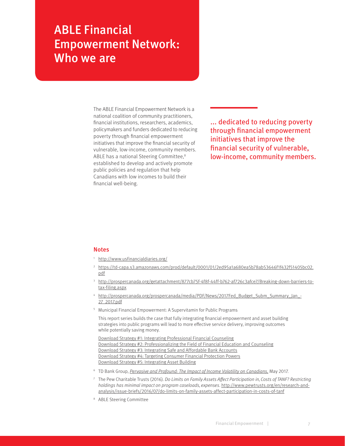## ABLE Financial Empowerment Network: Who we are

The ABLE Financial Empowerment Network is a national coalition of community practitioners, financial institutions, researchers, academics, policymakers and funders dedicated to reducing poverty through financial empowerment initiatives that improve the financial security of vulnerable, low-income, community members. ABLE has a national Steering Committee,<sup>8</sup> established to develop and actively promote public policies and regulation that help Canadians with low incomes to build their financial well-being.

... dedicated to reducing poverty through financial empowerment initiatives that improve the financial security of vulnerable, low-income, community members.

#### Notes

<http://www.usfinancialdiaries.org/>

- <sup>2</sup> [https://td-capa.s3.amazonaws.com/prod/default/0001/01/2ed95a1a680ea5b78ab53646f1f432f51405bc02.](https://td-capa.s3.amazonaws.com/prod/default/0001/01/2ed95a1a680ea5b78ab53646f1f432f51405bc02.pdf) [pdf](https://td-capa.s3.amazonaws.com/prod/default/0001/01/2ed95a1a680ea5b78ab53646f1f432f51405bc02.pdf)
- <sup>3</sup> [http://prospercanada.org/getattachment/877cb75f-4f8f-44ff-b762-af726c3afce7/Breaking-down-barriers-to](http://prospercanada.org/getattachment/877cb75f-4f8f-44ff-b762-af726c3afce7/Breaking-down-barriers-to-tax-filing.aspx)[tax-filing.aspx](http://prospercanada.org/getattachment/877cb75f-4f8f-44ff-b762-af726c3afce7/Breaking-down-barriers-to-tax-filing.aspx)
- [http://prospercanada.org/prospercanada/media/PDF/News/2017Fed\\_Budget\\_Subm\\_Summary\\_Jan\\_-](http://prospercanada.org/prospercanada/media/PDF/News/2017Fed_Budget_Subm_Summary_Jan_-27_2017.pdf) [27\\_2017.pdf](http://prospercanada.org/prospercanada/media/PDF/News/2017Fed_Budget_Subm_Summary_Jan_-27_2017.pdf)
- <sup>5</sup> Municipal Financial Empowerment: A Supervitamin for Public Programs

This report series builds the case that fully integrating financial empowerment and asset building strategies into public programs will lead to more effective service delivery, improving outcomes while potentially saving money.

[Download Strategy #1: Integrating Professional Financial Counseling](http://www1.nyc.gov/assets/dca/downloads/pdf/partners/Research-SupervitaminReport1.pdf) [Download Strategy #2: Professionalizing the Field of Financial Education and Counseling](http://www1.nyc.gov/assets/dca/downloads/pdf/partners/Research-SupervitaminReport2.pdf) [Download Strategy #3: Integrating Safe and Affordable Bank Accounts](http://www1.nyc.gov/assets/dca/downloads/pdf/partners/Research-SupervitaminReport3.pdf) [Download Strategy #4: Targeting Consumer Financial Protection Powers](http://www1.nyc.gov/assets/dca/downloads/pdf/partners/Research-SupervitaminReport4.pdf) [Download Strategy #5: Integrating Asset Building](http://www1.nyc.gov/assets/dca/downloads/pdf/partners/Research-SupervitaminReport5.pdf)

- <sup>6</sup> TD Bank Group, *[Pervasive and Profound: The Impact of Income Volatility on Canadians](https://td-capa.s3.amazonaws.com/prod/default/0001/01/2ed95a1a680ea5b78ab53646f1f432f51405bc02.pdf)*, May 2017.
- The Pew Charitable Trusts (2016). Do Limits on Family Assets Affect Participation in, Costs of TANF? Restricting holdings has minimal impact on program caseloads, expenses. [http://www.pewtrusts.org/en/research-and](http://www.pewtrusts.org/en/research-and-analysis/issue-briefs/2016/07/do-limits-on-family-assets-affect-participation-in-costs-of-tanf)[analysis/issue-briefs/2016/07/do-limits-on-family-assets-affect-participation-in-costs-of-tanf](http://www.pewtrusts.org/en/research-and-analysis/issue-briefs/2016/07/do-limits-on-family-assets-affect-participation-in-costs-of-tanf)

<sup>8</sup> ABLE Steering Committee